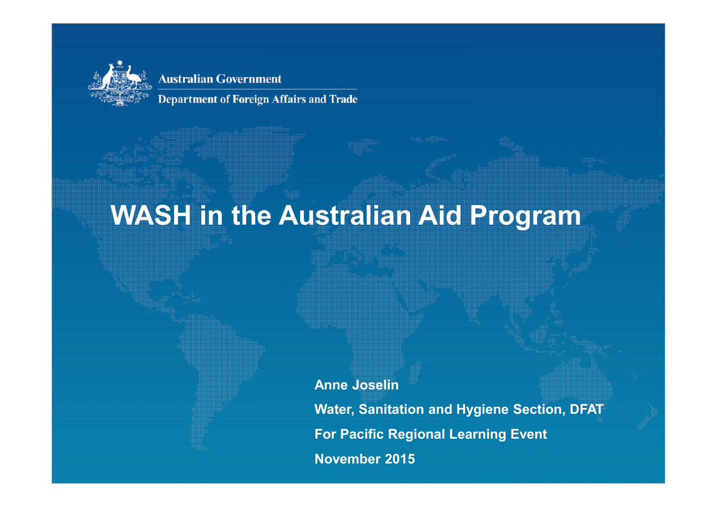

**Department of Foreign Affairs and Trade** 

## **WASH in the Australian Aid Program**

**Anne Joselin**

**Water, Sanitation and Hygiene Section, DFAT For Pacific Regional Learning Event November 2015**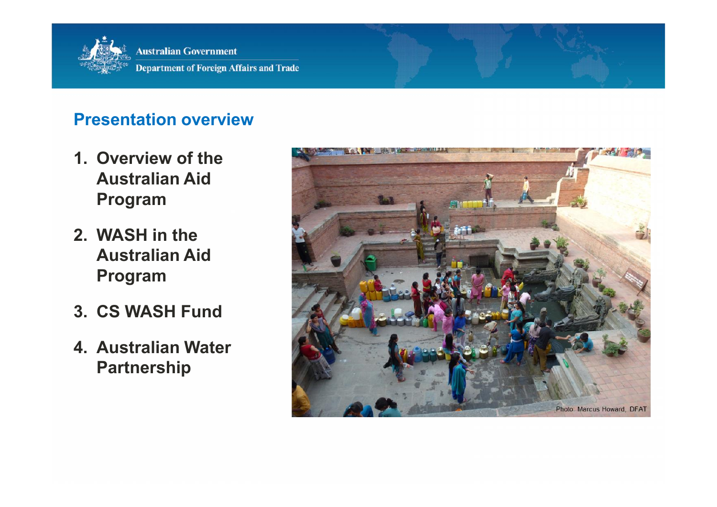

#### **Presentation overview**

- **1. Overview of the Australian Aid Program**
- **2. WASH in the Australian Aid Program**
- **3. CS WASH Fund**
- **4. Australian Water Partnership**

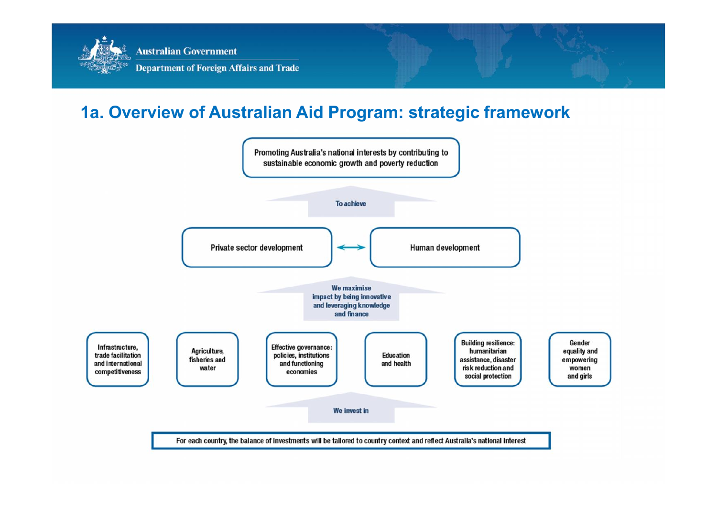

#### **1a. Overview of Australian Aid Program: strategic framework**

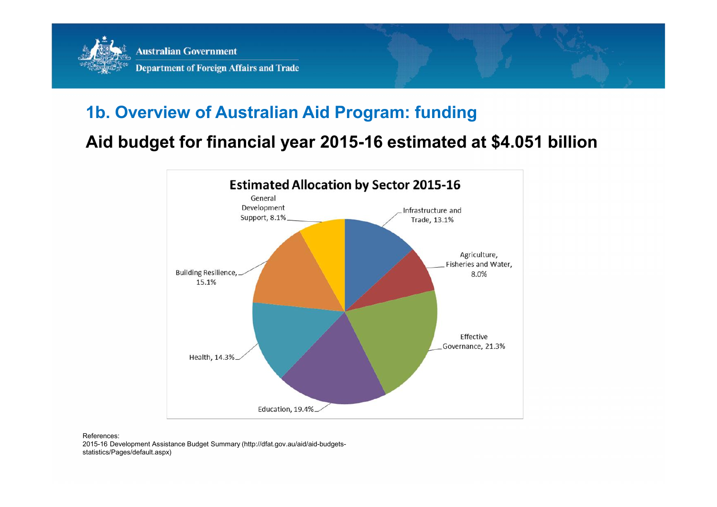

#### **1b. Overview of Australian Aid Program: funding**

#### **Aid budget for financial year 2015-16 estimated at \$4.051 billion**





2015-16 Development Assistance Budget Summary (http://dfat.gov.au/aid/aid-budgets statistics/Pages/default.aspx)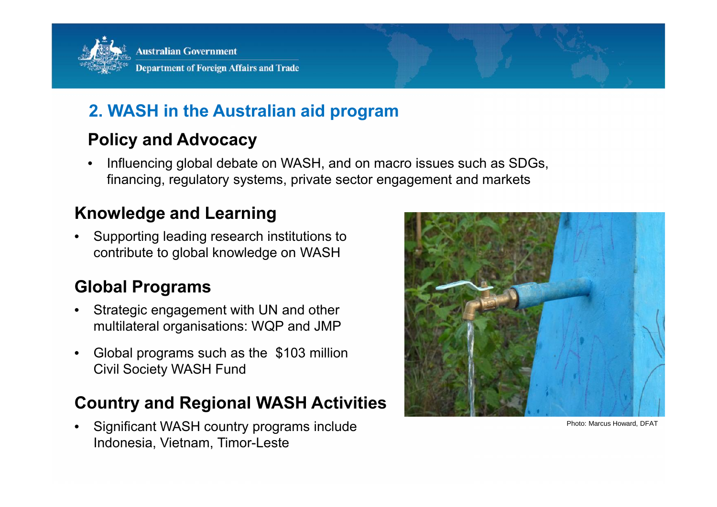

#### **2. WASH in the Australian aid program**

#### **Policy and Advocacy**

• Influencing global debate on WASH, and on macro issues such as SDGs, financing, regulatory systems, private sector engagement and markets

#### **Knowledge and Learning**

• Supporting leading research institutions to contribute to global knowledge on WASH

#### **Global Programs**

- Strategic engagement with UN and other multilateral organisations: WQP and JMP
- Global programs such as the \$103 million Civil Society WASH Fund

#### **Country and Regional WASH Activities**

• Significant WASH country programs include Indonesia, Vietnam, Timor-Leste



Photo: Marcus Howard, DFAT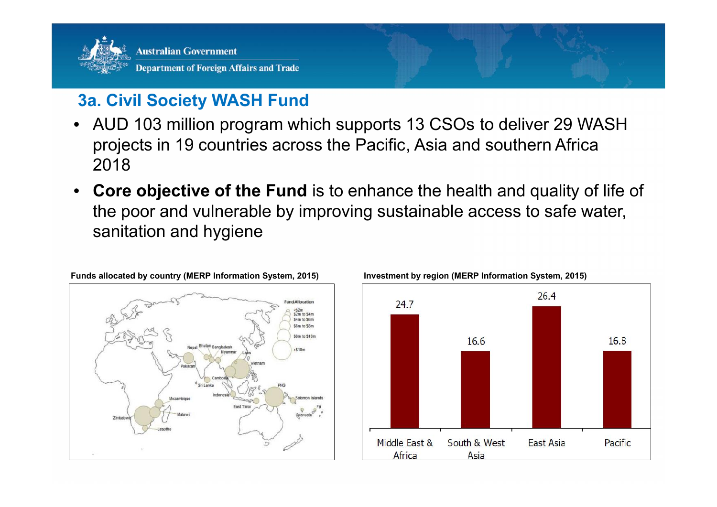

#### **3a. Civil Society WASH Fund**

- AUD 103 million program which supports 13 CSOs to deliver 29 WASH projects in 19 countries across the Pacific, Asia and southern Africa 2018
- **Core objective of the Fund** is to enhance the health and quality of life of the poor and vulnerable by improving sustainable access to safe water, sanitation and hygiene



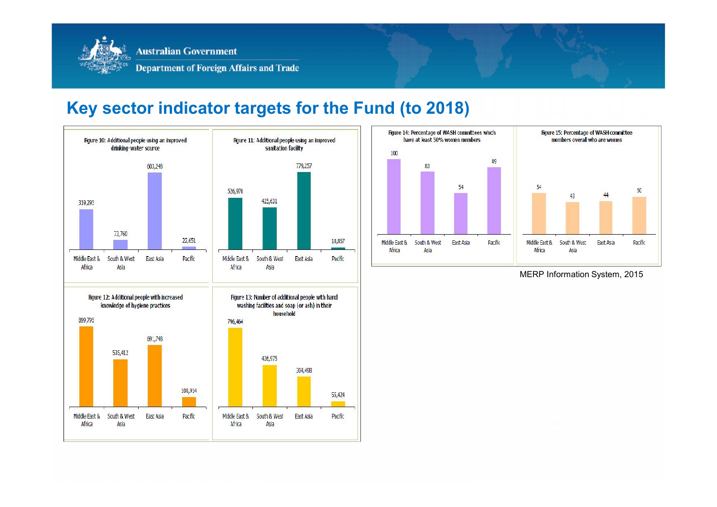

#### **Key sector indicator targets for the Fund (to 2018)**





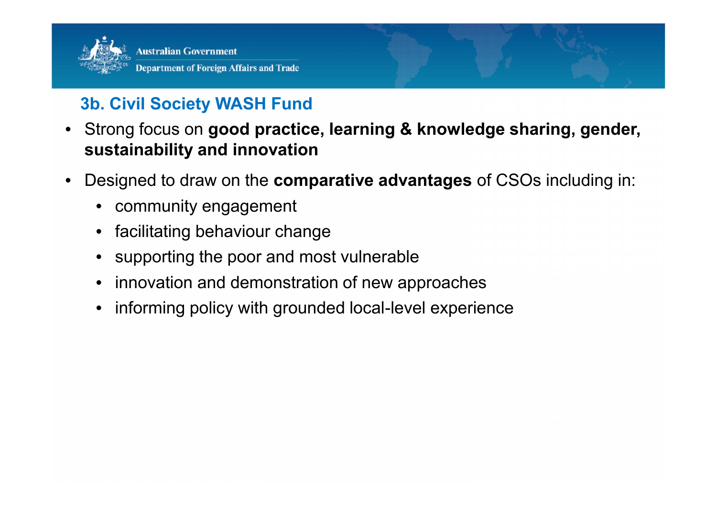

## **3b. Civil Society WASH Fund**

- Strong focus on **good practice, learning & knowledge sharing, gender, sustainability and innovation**
- Designed to draw on the **comparative advantages** of CSOs including in:
	- community engagement
	- facilitating behaviour change
	- supporting the poor and most vulnerable
	- innovation and demonstration of new approaches
	- informing policy with grounded local-level experience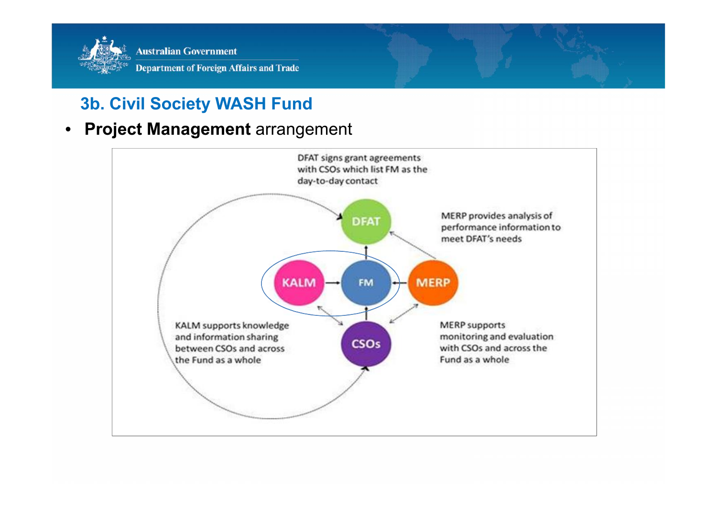

## **3b. Civil Society WASH Fund**

#### • **Project Management** arrangement

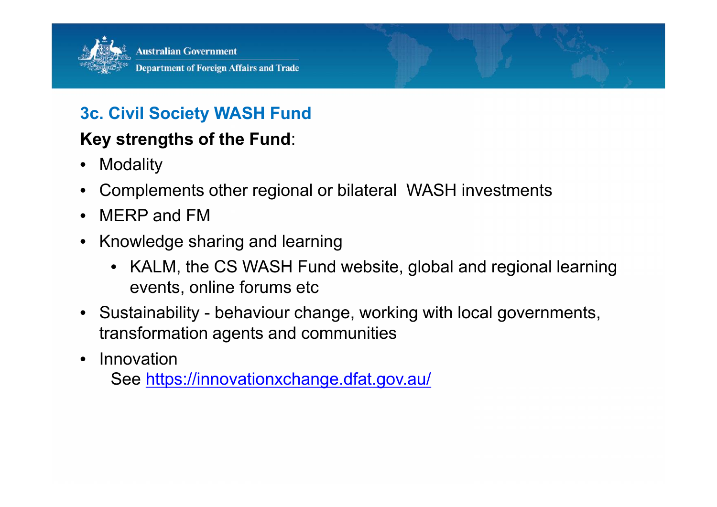

### **3c. Civil Society WASH Fund**

#### **Key strengths of the Fund**:

- Modality
- Complements other regional or bilateral WASH investments
- MERP and FM
- Knowledge sharing and learning
	- KALM, the CS WASH Fund website, global and regional learning events, online forums etc
- Sustainability behaviour change, working with local governments, transformation agents and communities
- Innovation

See https://innovationxchange.dfat.gov.au/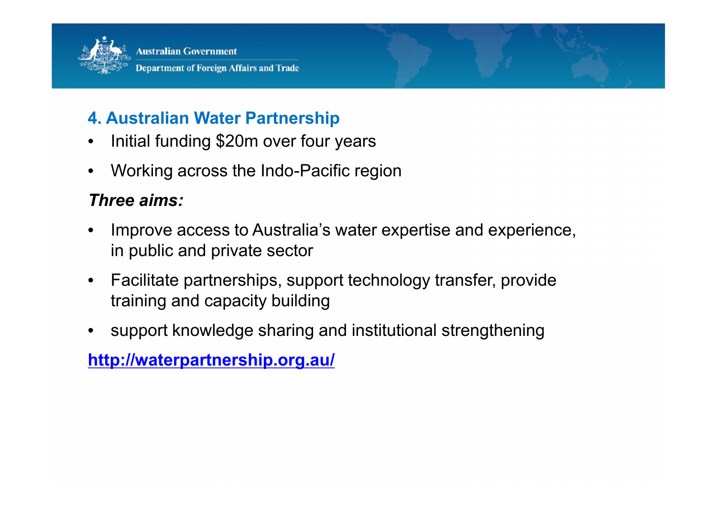

#### **4. Australian Water Partnership**

- Initial funding \$20m over four years
- Working across the Indo-Pacific region

#### *Three aims:*

- Improve access to Australia's water expertise and experience, in public and private sector
- Facilitate partnerships, support technology transfer, provide training and capacity building
- support knowledge sharing and institutional strengthening

**http://waterpartnership.org.au/**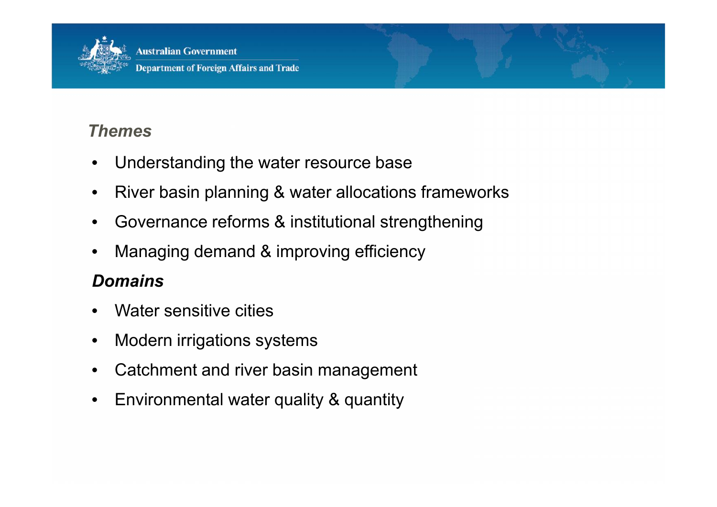

**Department of Foreign Affairs and Trade** 

#### *Themes*

- Understanding the water resource base
- River basin planning & water allocations frameworks
- Governance reforms & institutional strengthening
- Managing demand & improving efficiency

#### *Domains*

- Water sensitive cities
- Modern irrigations systems
- Catchment and river basin management
- Environmental water quality & quantity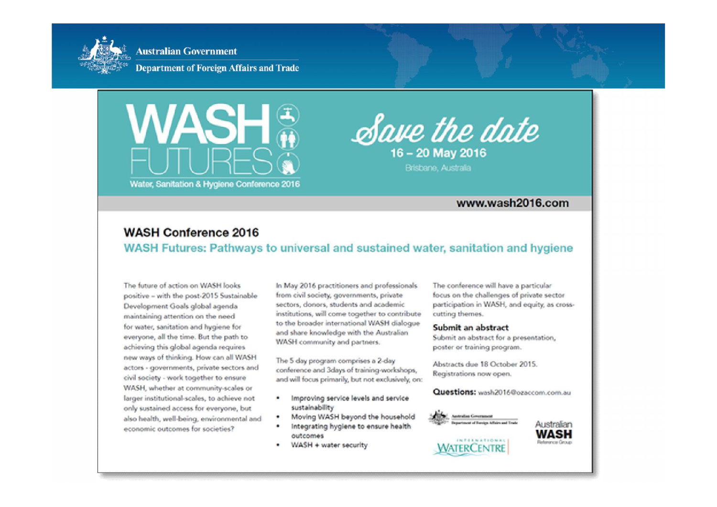

**Department of Foreign Affairs and Trade** 





Brisbane, Australia

#### www.wash2016.com

#### **WASH Conference 2016**

#### WASH Futures: Pathways to universal and sustained water, sanitation and hygiene

The future of action on WASH looks positive - with the post-2015 Sustainable Development Goals global agenda maintaining attention on the need for water, sanitation and hygiene for everyone, all the time. But the path to achieving this global agenda reguires new ways of thinking. How can all WASH actors - governments, private sectors and civil society - work together to ensure WASH, whether at community-scales or larger institutional-scales, to achieve not only sustained access for everyone, but also health, well-being, environmental and economic outcomes for societies?

In May 2016 practitioners and professionals from civil society, governments, private sectors, donors, students and academic institutions, will come together to contribute to the broader international WASH dialogue and share knowledge with the Australian WASH community and partners.

The 5 day program comprises a 2-day conference and 3days of training-workshops, and will focus primarily, but not exclusively, on:

- Improving service levels and service  $\bullet$ sustainability
- Moving WASH beyond the household
- Integrating hygiene to ensure health outcomes
- WASH + water security

The conference will have a particular focus on the challenges of private sector participation in WASH, and equity, as crosscutting themes.

#### Submit an abstract

Submit an abstract for a presentation, poster or training program.

Abstracts due 18 October 2015. Registrations now open.

Questions: www.2016@ozaccom.com.au

Australian

**WASH** 

dunionis Genuin



WATERCENTRE

INTERNATIONAL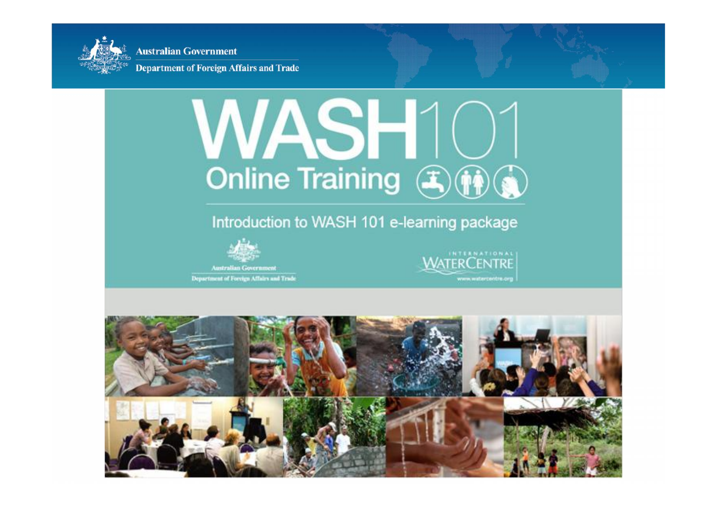

**Department of Foreign Affairs and Trade** 

# WASH10 Online Training (F) (i) (i)

#### Introduction to WASH 101 e-learning package



Department of Foreign Affairs and Trade